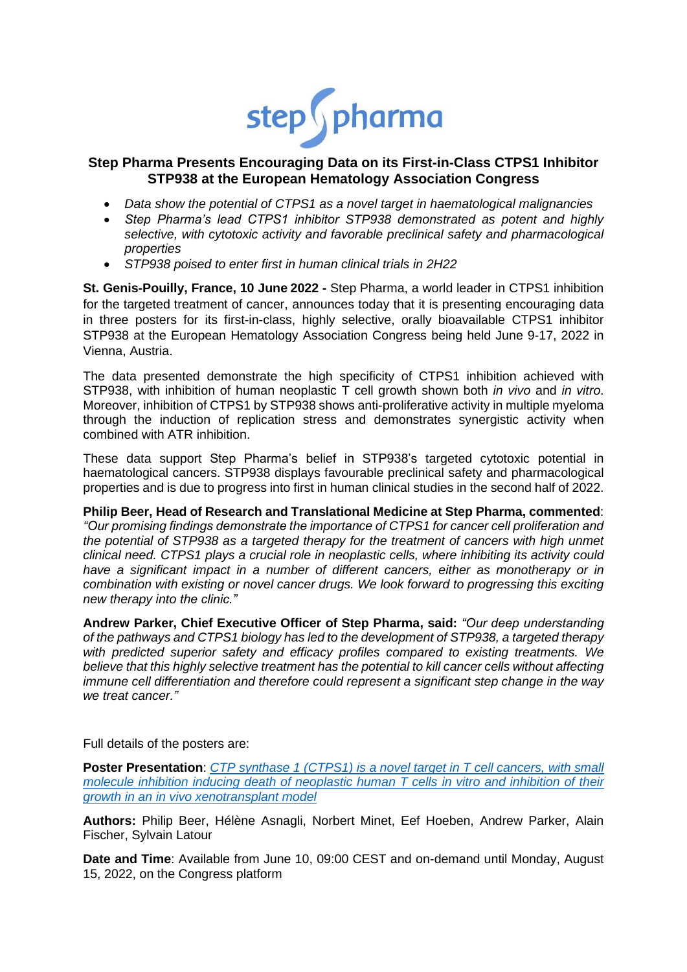

# **Step Pharma Presents Encouraging Data on its First-in-Class CTPS1 Inhibitor STP938 at the European Hematology Association Congress**

- *Data show the potential of CTPS1 as a novel target in haematological malignancies*
- *Step Pharma's lead CTPS1 inhibitor STP938 demonstrated as potent and highly selective, with cytotoxic activity and favorable preclinical safety and pharmacological properties*
- *STP938 poised to enter first in human clinical trials in 2H22*

**St. Genis-Pouilly, France, 10 June 2022 -** Step Pharma, a world leader in CTPS1 inhibition for the targeted treatment of cancer, announces today that it is presenting encouraging data in three posters for its first-in-class, highly selective, orally bioavailable CTPS1 inhibitor STP938 at the European Hematology Association Congress being held June 9-17, 2022 in Vienna, Austria.

The data presented demonstrate the high specificity of CTPS1 inhibition achieved with STP938, with inhibition of human neoplastic T cell growth shown both *in vivo* and *in vitro*. Moreover, inhibition of CTPS1 by STP938 shows anti-proliferative activity in multiple myeloma through the induction of replication stress and demonstrates synergistic activity when combined with ATR inhibition.

These data support Step Pharma's belief in STP938's targeted cytotoxic potential in haematological cancers. STP938 displays favourable preclinical safety and pharmacological properties and is due to progress into first in human clinical studies in the second half of 2022.

**Philip Beer, Head of Research and Translational Medicine at Step Pharma, commented**: *"Our promising findings demonstrate the importance of CTPS1 for cancer cell proliferation and the potential of STP938 as a targeted therapy for the treatment of cancers with high unmet clinical need. CTPS1 plays a crucial role in neoplastic cells, where inhibiting its activity could have a significant impact in a number of different cancers, either as monotherapy or in combination with existing or novel cancer drugs. We look forward to progressing this exciting new therapy into the clinic."*

**Andrew Parker, Chief Executive Officer of Step Pharma, said:** *"Our deep understanding of the pathways and CTPS1 biology has led to the development of STP938, a targeted therapy with predicted superior safety and efficacy profiles compared to existing treatments. We believe that this highly selective treatment has the potential to kill cancer cells without affecting immune cell differentiation and therefore could represent a significant step change in the way we treat cancer."*

Full details of the posters are:

**Poster Presentation**: *CTP synthase 1 (CTPS1) [is a novel target in T cell cancers, with small](https://www.step-ph.com/p1248-beer-t-cell-neoplasia-eha-2022/)  [molecule inhibition inducing death of neoplastic human T cells in vitro](https://www.step-ph.com/p1248-beer-t-cell-neoplasia-eha-2022/) and inhibition of their growth in an in vivo [xenotransplant model](https://www.step-ph.com/p1248-beer-t-cell-neoplasia-eha-2022/)*

**Authors:** Philip Beer, Hélène Asnagli, Norbert Minet, Eef Hoeben, Andrew Parker, Alain Fischer, Sylvain Latour

**Date and Time**: Available from June 10, 09:00 CEST and on-demand until Monday, August 15, 2022, on the Congress platform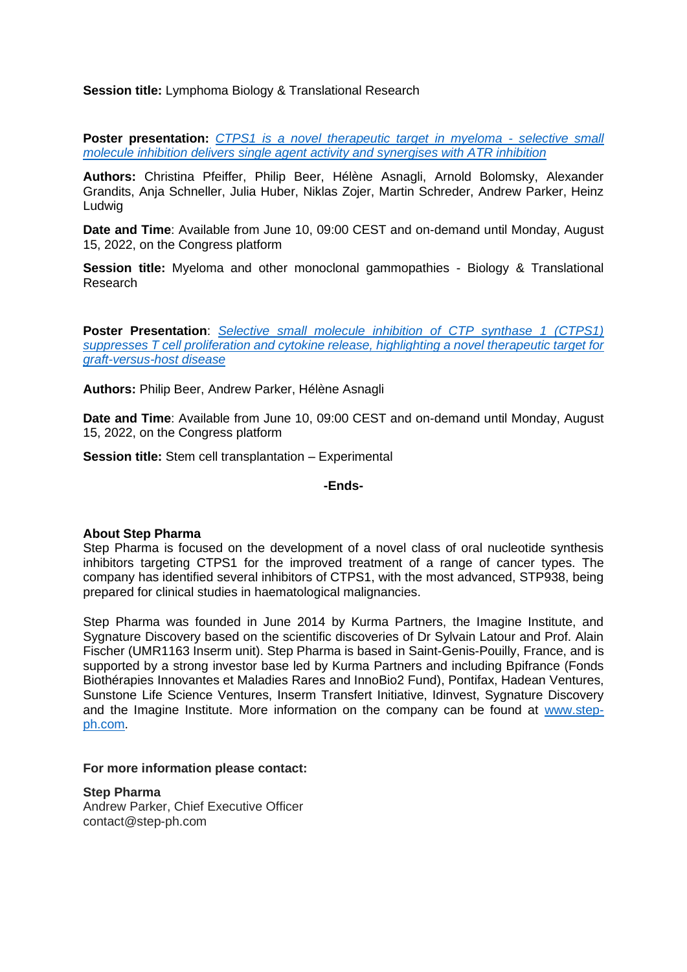## **Session title:** Lymphoma Biology & Translational Research

**Poster presentation:** *[CTPS1 is a novel therapeutic target in myeloma -](https://www.step-ph.com/wp-content/uploads/2022/06/P864_Pfeiffer-Christina.pdf) selective small [molecule inhibition delivers single agent activity and synergises with ATR inhibition](https://www.step-ph.com/wp-content/uploads/2022/06/P864_Pfeiffer-Christina.pdf)*

**Authors:** Christina Pfeiffer, Philip Beer, Hélène Asnagli, Arnold Bolomsky, Alexander Grandits, Anja Schneller, Julia Huber, Niklas Zojer, Martin Schreder, Andrew Parker, Heinz Ludwig

**Date and Time**: Available from June 10, 09:00 CEST and on-demand until Monday, August 15, 2022, on the Congress platform

**Session title:** Myeloma and other monoclonal gammopathies - Biology & Translational Research

**Poster Presentation**: *[Selective small molecule inhibition of CTP synthase 1 \(CTPS1\)](https://www.step-ph.com/wp-content/uploads/2022/05/P1308-Beer-GvHD-EHA-2022.pdf)  [suppresses T cell proliferation and cytokine release, highlighting a novel therapeutic target for](https://www.step-ph.com/wp-content/uploads/2022/05/P1308-Beer-GvHD-EHA-2022.pdf)  [graft-versus-host disease](https://www.step-ph.com/wp-content/uploads/2022/05/P1308-Beer-GvHD-EHA-2022.pdf)*

**Authors:** Philip Beer, Andrew Parker, Hélène Asnagli

**Date and Time**: Available from June 10, 09:00 CEST and on-demand until Monday, August 15, 2022, on the Congress platform

**Session title:** Stem cell transplantation – Experimental

**-Ends-**

### **About Step Pharma**

Step Pharma is focused on the development of a novel class of oral nucleotide synthesis inhibitors targeting CTPS1 for the improved treatment of a range of cancer types. The company has identified several inhibitors of CTPS1, with the most advanced, STP938, being prepared for clinical studies in haematological malignancies.

Step Pharma was founded in June 2014 by Kurma Partners, the Imagine Institute, and Sygnature Discovery based on the scientific discoveries of Dr Sylvain Latour and Prof. Alain Fischer (UMR1163 Inserm unit). Step Pharma is based in Saint-Genis-Pouilly, France, and is supported by a strong investor base led by Kurma Partners and including Bpifrance (Fonds Biothérapies Innovantes et Maladies Rares and InnoBio2 Fund), Pontifax, Hadean Ventures, Sunstone Life Science Ventures, Inserm Transfert Initiative, Idinvest, Sygnature Discovery and the Imagine Institute. More information on the company can be found at [www.step](http://www.step-ph.com/)[ph.com.](http://www.step-ph.com/)

#### **For more information please contact:**

**Step Pharma** Andrew Parker, Chief Executive Officer contact@step-ph.com